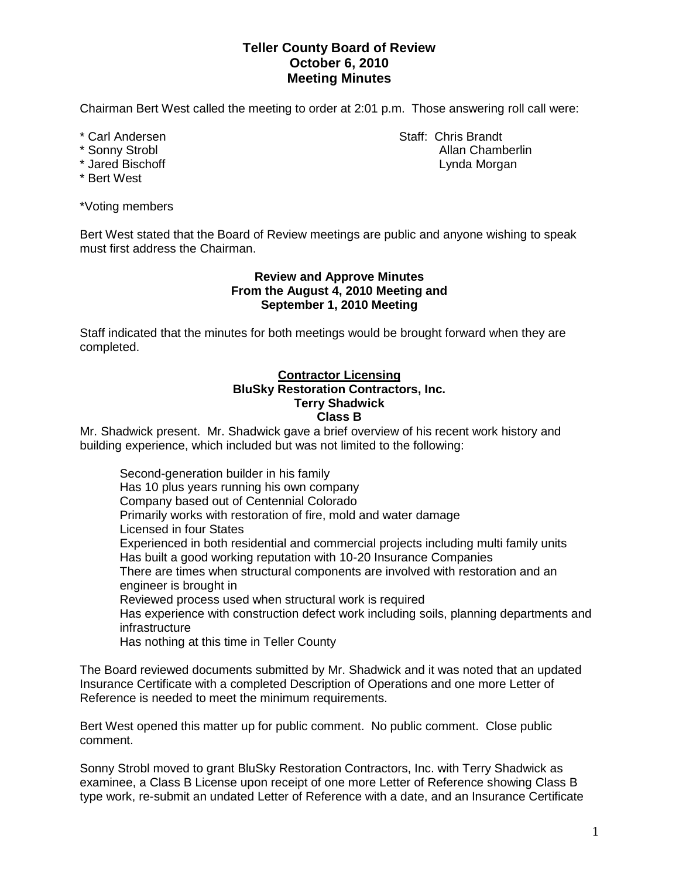# **Teller County Board of Review October 6, 2010 Meeting Minutes**

Chairman Bert West called the meeting to order at 2:01 p.m. Those answering roll call were:

- 
- 
- 
- \* Bert West

\*Voting members

Bert West stated that the Board of Review meetings are public and anyone wishing to speak must first address the Chairman.

# **Review and Approve Minutes From the August 4, 2010 Meeting and September 1, 2010 Meeting**

Staff indicated that the minutes for both meetings would be brought forward when they are completed.

### **Contractor Licensing BluSky Restoration Contractors, Inc. Terry Shadwick Class B**

Mr. Shadwick present. Mr. Shadwick gave a brief overview of his recent work history and building experience, which included but was not limited to the following:

Second-generation builder in his family Has 10 plus years running his own company Company based out of Centennial Colorado Primarily works with restoration of fire, mold and water damage Licensed in four States Experienced in both residential and commercial projects including multi family units Has built a good working reputation with 10-20 Insurance Companies There are times when structural components are involved with restoration and an engineer is brought in Reviewed process used when structural work is required Has experience with construction defect work including soils, planning departments and infrastructure Has nothing at this time in Teller County

The Board reviewed documents submitted by Mr. Shadwick and it was noted that an updated Insurance Certificate with a completed Description of Operations and one more Letter of Reference is needed to meet the minimum requirements.

Bert West opened this matter up for public comment. No public comment. Close public comment.

Sonny Strobl moved to grant BluSky Restoration Contractors, Inc. with Terry Shadwick as examinee, a Class B License upon receipt of one more Letter of Reference showing Class B type work, re-submit an undated Letter of Reference with a date, and an Insurance Certificate

\* Carl Andersen Staff: Chris Brandt \* Sonny Strobl Allan Chamberlin Allan Chamberlin \* Jared Bischoff **Lynda Morgan**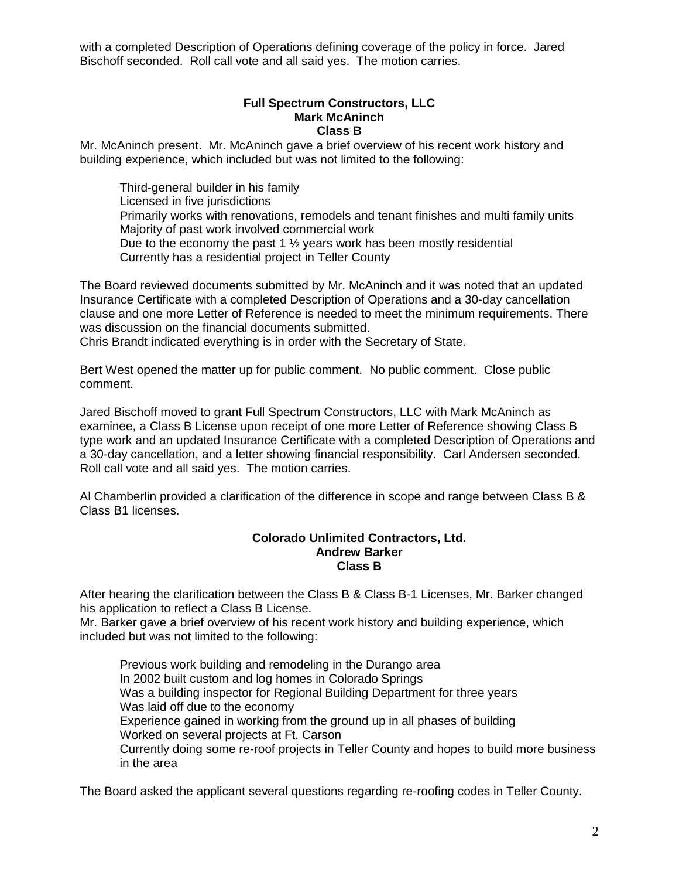with a completed Description of Operations defining coverage of the policy in force. Jared Bischoff seconded. Roll call vote and all said yes. The motion carries.

# **Full Spectrum Constructors, LLC Mark McAninch Class B**

Mr. McAninch present. Mr. McAninch gave a brief overview of his recent work history and building experience, which included but was not limited to the following:

Third-general builder in his family Licensed in five jurisdictions Primarily works with renovations, remodels and tenant finishes and multi family units Majority of past work involved commercial work Due to the economy the past 1  $\frac{1}{2}$  years work has been mostly residential Currently has a residential project in Teller County

The Board reviewed documents submitted by Mr. McAninch and it was noted that an updated Insurance Certificate with a completed Description of Operations and a 30-day cancellation clause and one more Letter of Reference is needed to meet the minimum requirements. There was discussion on the financial documents submitted.

Chris Brandt indicated everything is in order with the Secretary of State.

Bert West opened the matter up for public comment. No public comment. Close public comment.

Jared Bischoff moved to grant Full Spectrum Constructors, LLC with Mark McAninch as examinee, a Class B License upon receipt of one more Letter of Reference showing Class B type work and an updated Insurance Certificate with a completed Description of Operations and a 30-day cancellation, and a letter showing financial responsibility. Carl Andersen seconded. Roll call vote and all said yes. The motion carries.

Al Chamberlin provided a clarification of the difference in scope and range between Class B & Class B1 licenses.

#### **Colorado Unlimited Contractors, Ltd. Andrew Barker Class B**

After hearing the clarification between the Class B & Class B-1 Licenses, Mr. Barker changed his application to reflect a Class B License.

Mr. Barker gave a brief overview of his recent work history and building experience, which included but was not limited to the following:

Previous work building and remodeling in the Durango area In 2002 built custom and log homes in Colorado Springs Was a building inspector for Regional Building Department for three years Was laid off due to the economy Experience gained in working from the ground up in all phases of building Worked on several projects at Ft. Carson Currently doing some re-roof projects in Teller County and hopes to build more business in the area

The Board asked the applicant several questions regarding re-roofing codes in Teller County.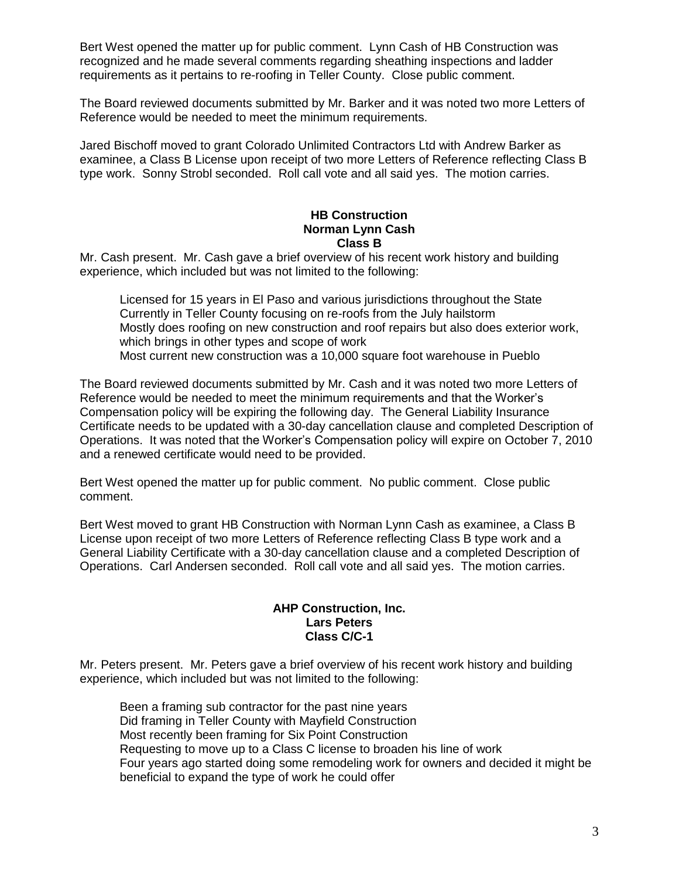Bert West opened the matter up for public comment. Lynn Cash of HB Construction was recognized and he made several comments regarding sheathing inspections and ladder requirements as it pertains to re-roofing in Teller County. Close public comment.

The Board reviewed documents submitted by Mr. Barker and it was noted two more Letters of Reference would be needed to meet the minimum requirements.

Jared Bischoff moved to grant Colorado Unlimited Contractors Ltd with Andrew Barker as examinee, a Class B License upon receipt of two more Letters of Reference reflecting Class B type work. Sonny Strobl seconded. Roll call vote and all said yes. The motion carries.

### **HB Construction Norman Lynn Cash Class B**

Mr. Cash present. Mr. Cash gave a brief overview of his recent work history and building experience, which included but was not limited to the following:

Licensed for 15 years in El Paso and various jurisdictions throughout the State Currently in Teller County focusing on re-roofs from the July hailstorm Mostly does roofing on new construction and roof repairs but also does exterior work, which brings in other types and scope of work Most current new construction was a 10,000 square foot warehouse in Pueblo

The Board reviewed documents submitted by Mr. Cash and it was noted two more Letters of Reference would be needed to meet the minimum requirements and that the Worker's Compensation policy will be expiring the following day. The General Liability Insurance Certificate needs to be updated with a 30-day cancellation clause and completed Description of Operations. It was noted that the Worker's Compensation policy will expire on October 7, 2010 and a renewed certificate would need to be provided.

Bert West opened the matter up for public comment. No public comment. Close public comment.

Bert West moved to grant HB Construction with Norman Lynn Cash as examinee, a Class B License upon receipt of two more Letters of Reference reflecting Class B type work and a General Liability Certificate with a 30-day cancellation clause and a completed Description of Operations. Carl Andersen seconded. Roll call vote and all said yes. The motion carries.

# **AHP Construction, Inc. Lars Peters Class C/C-1**

Mr. Peters present. Mr. Peters gave a brief overview of his recent work history and building experience, which included but was not limited to the following:

Been a framing sub contractor for the past nine years Did framing in Teller County with Mayfield Construction Most recently been framing for Six Point Construction Requesting to move up to a Class C license to broaden his line of work Four years ago started doing some remodeling work for owners and decided it might be beneficial to expand the type of work he could offer